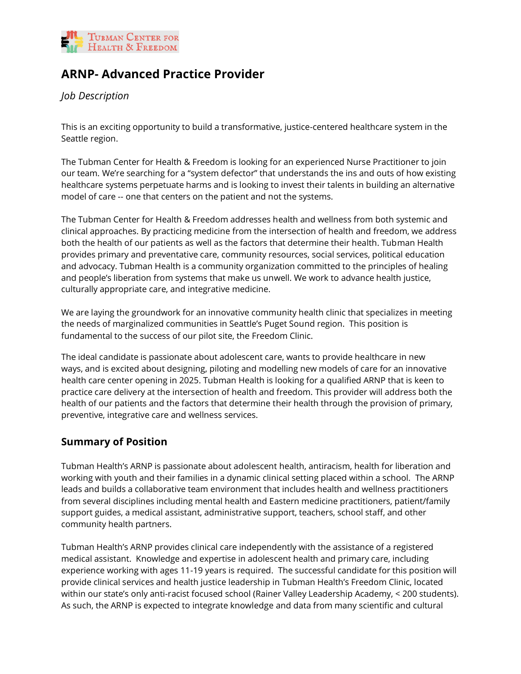

# **ARNP- Advanced Practice Provider**

*Job Description*

This is an exciting opportunity to build a transformative, justice-centered healthcare system in the Seattle region.

The Tubman Center for Health & Freedom is looking for an experienced Nurse Practitioner to join our team. We're searching for a "system defector" that understands the ins and outs of how existing healthcare systems perpetuate harms and is looking to invest their talents in building an alternative model of care -- one that centers on the patient and not the systems.

The Tubman Center for Health & Freedom addresses health and wellness from both systemic and clinical approaches. By practicing medicine from the intersection of health and freedom, we address both the health of our patients as well as the factors that determine their health. Tubman Health provides primary and preventative care, community resources, social services, political education and advocacy. Tubman Health is a community organization committed to the principles of healing and people's liberation from systems that make us unwell. We work to advance health justice, culturally appropriate care, and integrative medicine.

We are laying the groundwork for an innovative community health clinic that specializes in meeting the needs of marginalized communities in Seattle's Puget Sound region. This position is fundamental to the success of our pilot site, the Freedom Clinic.

The ideal candidate is passionate about adolescent care, wants to provide healthcare in new ways, and is excited about designing, piloting and modelling new models of care for an innovative health care center opening in 2025. Tubman Health is looking for a qualified ARNP that is keen to practice care delivery at the intersection of health and freedom. This provider will address both the health of our patients and the factors that determine their health through the provision of primary, preventive, integrative care and wellness services.

# **Summary of Position**

Tubman Health's ARNP is passionate about adolescent health, antiracism, health for liberation and working with youth and their families in a dynamic clinical setting placed within a school. The ARNP leads and builds a collaborative team environment that includes health and wellness practitioners from several disciplines including mental health and Eastern medicine practitioners, patient/family support guides, a medical assistant, administrative support, teachers, school staff, and other community health partners.

Tubman Health's ARNP provides clinical care independently with the assistance of a registered medical assistant. Knowledge and expertise in adolescent health and primary care, including experience working with ages 11-19 years is required. The successful candidate for this position will provide clinical services and health justice leadership in Tubman Health's Freedom Clinic, located within our state's only anti-racist focused school (Rainer Valley Leadership Academy, < 200 students). As such, the ARNP is expected to integrate knowledge and data from many scientific and cultural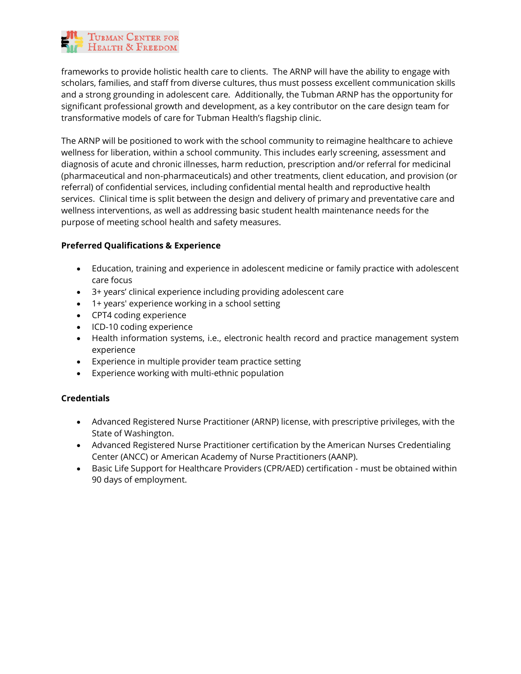

frameworks to provide holistic health care to clients. The ARNP will have the ability to engage with scholars, families, and staff from diverse cultures, thus must possess excellent communication skills and a strong grounding in adolescent care. Additionally, the Tubman ARNP has the opportunity for significant professional growth and development, as a key contributor on the care design team for transformative models of care for Tubman Health's flagship clinic.

The ARNP will be positioned to work with the school community to reimagine healthcare to achieve wellness for liberation, within a school community. This includes early screening, assessment and diagnosis of acute and chronic illnesses, harm reduction, prescription and/or referral for medicinal (pharmaceutical and non-pharmaceuticals) and other treatments, client education, and provision (or referral) of confidential services, including confidential mental health and reproductive health services. Clinical time is split between the design and delivery of primary and preventative care and wellness interventions, as well as addressing basic student health maintenance needs for the purpose of meeting school health and safety measures.

## **Preferred Qualifications & Experience**

- Education, training and experience in adolescent medicine or family practice with adolescent care focus
- 3+ years' clinical experience including providing adolescent care
- 1+ years' experience working in a school setting
- CPT4 coding experience
- ICD-10 coding experience
- Health information systems, i.e., electronic health record and practice management system experience
- Experience in multiple provider team practice setting
- Experience working with multi-ethnic population

#### **Credentials**

- Advanced Registered Nurse Practitioner (ARNP) license, with prescriptive privileges, with the State of Washington.
- Advanced Registered Nurse Practitioner certification by the American Nurses Credentialing Center (ANCC) or American Academy of Nurse Practitioners (AANP).
- Basic Life Support for Healthcare Providers (CPR/AED) certification must be obtained within 90 days of employment.